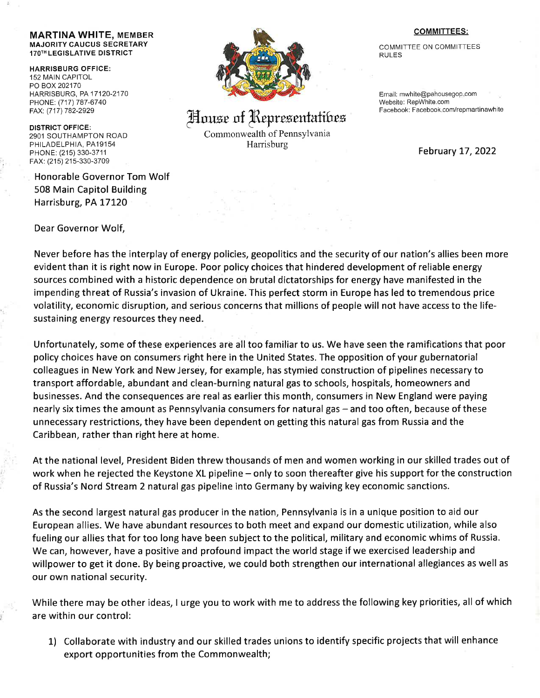## MARTINA WHITE, MEMBER MAJORITY CAUCUS SECRETARY <sup>1</sup>TOTH LEGISLATIVE DISTRICT

HARRISBURG OFFICE: 152 MAIN CAPITOL PO BOX 202170 HARRISBURG, PA 17 120.2170 PHONE: (717) 787-6740 FAX: (717) 782-2929

DISTRICT OFFICE: 2901 SOUTHAMPTON ROAD PHILADELPHIA, PA19154 PHONE: (215)330-3711 FAX: (215) 215-330-3709

Honorable Governor Tom Wolf 508 Main Capitol Building Harrisburg, PA 17120

Dear Governor Wolf,



## House of Representatibes

Commonwealth of Pennsylvania Harrisburg

## COMMITTEES;

COMMITTEE ON COMMITTEES RULES

Email: mwhite@pahousegop.com Website: RepWhite.com Facebook: Facebook.com/repmartinawhite

February 17,2022

Never before has the interplay of energy policies, geopolitics and the security of our nation's allies been more evident than it is right now in Europe. Poor policy choices that hindered development of reliable energy sources combined with a historic dependence on brutal dictatorships for energy have manifested in the impending threat of Russia's invasion of Ukraine. This perfect storm in Europe has led to tremendous price volatility, economic disruption, and serious concerns that millions of people will not have access to the lifesustaining energy resources they need.

Unfortunately, some of these experiences are alltoo familiar to us. We have seen the ramifications that poor policy choices have on consumers right here in the United States. The opposition of your gubernatorial colleagues in New York and New Jersey, for example, has stymied construction of pipelines necessary to transport affordable, abundant and clean-burning natural gas to schools, hospitals, homeowners and businesses. And the consequences are real as earlier this month, consumers in New England were paying nearly six times the amount as Pennsylvania consumers for natural gas - and too often, because of these unnecessary restrictions, they have been dependent on getting this natural gas from Russia and the Caribbean, rather than right here at home.

At the national level, President Biden threw thousands of men and women working in our skilled trades out of work when he rejected the Keystone XL pipeline – only to soon thereafter give his support for the construction of Russia's Nord Stream 2 natural gas pipeline into Germany by waiving key economic sanctions.

As the second largest naturalgas producer in the nation, Pennsylvania is in a unique position to aid our European allies. We have abundant resources to both meet and expand our domestic utilization, while also fueling our allies that for too long have been subject to the political, military and economic whims of Russia. We can, however, have a positive and profound impact the world stage if we exercised leadership and willpower to get it done. By being proactive, we could both strengthen our international allegiances as well as our own national security.

While there may be other ideas, I urge you to work with me to address the following key priorities, all of which are within our control:

1) Collaborate with industry and our skilled trades unions to identify specific projects that will enhance export opportunities from the Commonwealth;